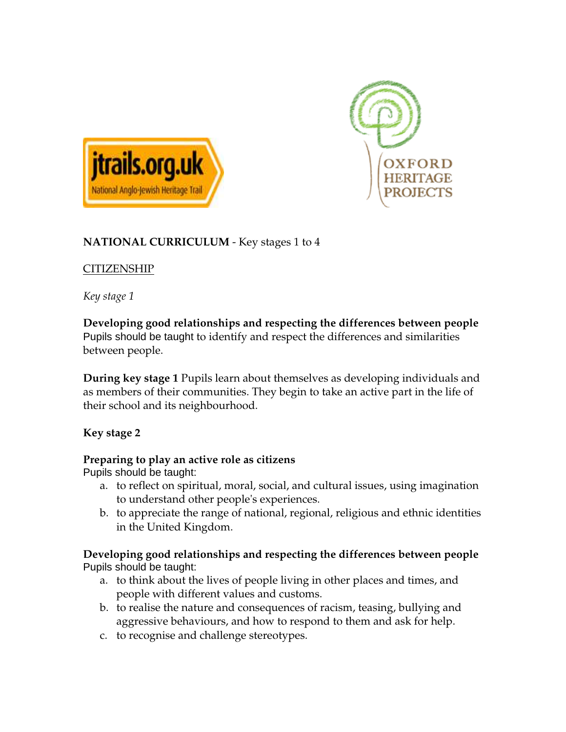



# **NATIONAL CURRICULUM** - Key stages 1 to 4

# **CITIZENSHIP**

*Key stage 1* 

### **Developing good relationships and respecting the differences between people** Pupils should be taught to identify and respect the differences and similarities between people.

**During key stage 1** Pupils learn about themselves as developing individuals and as members of their communities. They begin to take an active part in the life of their school and its neighbourhood.

# **Key stage 2**

### **Preparing to play an active role as citizens**

Pupils should be taught:

- a. to reflect on spiritual, moral, social, and cultural issues, using imagination to understand other people's experiences.
- b. to appreciate the range of national, regional, religious and ethnic identities in the United Kingdom.

#### **Developing good relationships and respecting the differences between people** Pupils should be taught:

- a. to think about the lives of people living in other places and times, and people with different values and customs.
- b. to realise the nature and consequences of racism, teasing, bullying and aggressive behaviours, and how to respond to them and ask for help.
- c. to recognise and challenge stereotypes.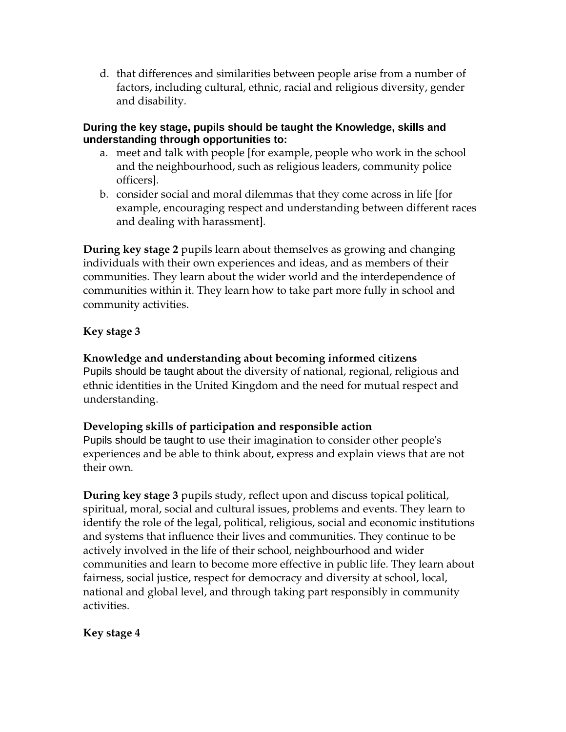d. that differences and similarities between people arise from a number of factors, including cultural, ethnic, racial and religious diversity, gender and disability.

#### **During the key stage, pupils should be taught the Knowledge, skills and understanding through opportunities to:**

- a. meet and talk with people [for example, people who work in the school and the neighbourhood, such as religious leaders, community police officers].
- b. consider social and moral dilemmas that they come across in life [for example, encouraging respect and understanding between different races and dealing with harassment].

**During key stage 2** pupils learn about themselves as growing and changing individuals with their own experiences and ideas, and as members of their communities. They learn about the wider world and the interdependence of communities within it. They learn how to take part more fully in school and community activities.

# **Key stage 3**

**Knowledge and understanding about becoming informed citizens** Pupils should be taught about the diversity of national, regional, religious and ethnic identities in the United Kingdom and the need for mutual respect and understanding.

### **Developing skills of participation and responsible action**

Pupils should be taught to use their imagination to consider other people's experiences and be able to think about, express and explain views that are not their own.

**During key stage 3** pupils study, reflect upon and discuss topical political, spiritual, moral, social and cultural issues, problems and events. They learn to identify the role of the legal, political, religious, social and economic institutions and systems that influence their lives and communities. They continue to be actively involved in the life of their school, neighbourhood and wider communities and learn to become more effective in public life. They learn about fairness, social justice, respect for democracy and diversity at school, local, national and global level, and through taking part responsibly in community activities.

# **Key stage 4**